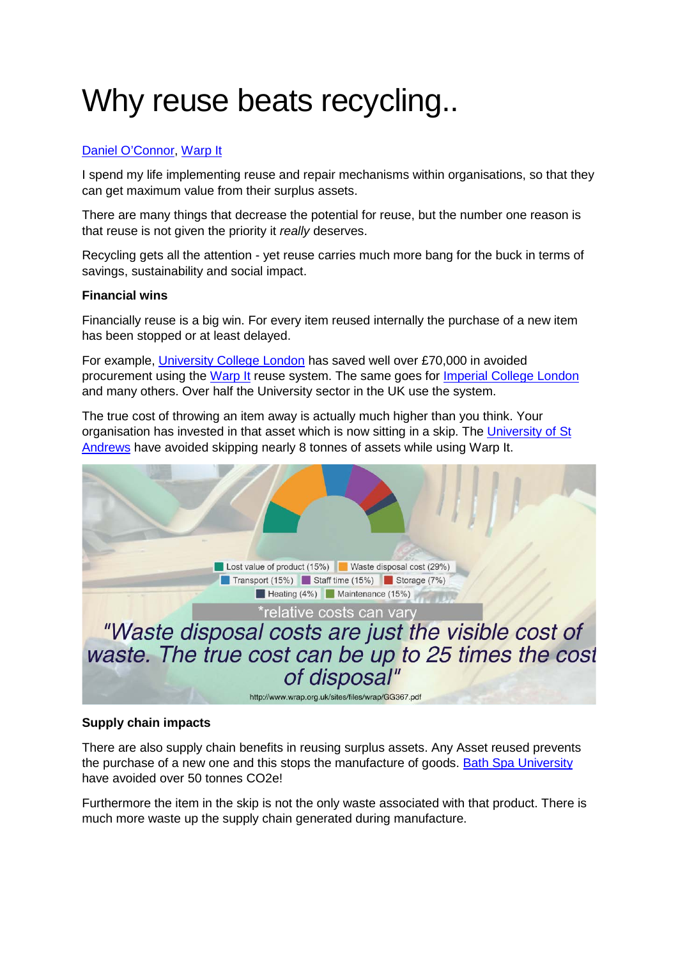# Why reuse beats recycling..

## [Daniel O'Connor,](https://uk.linkedin.com/in/danielbedeoconnor) [Warp It](http://www.warp-it.co.uk/)

I spend my life implementing reuse and repair mechanisms within organisations, so that they can get maximum value from their surplus assets.

There are many things that decrease the potential for reuse, but the number one reason is that reuse is not given the priority it *really* deserves.

Recycling gets all the attention - yet reuse carries much more bang for the buck in terms of savings, sustainability and social impact.

#### **Financial wins**

Financially reuse is a big win. For every item reused internally the purchase of a new item has been stopped or at least delayed.

For example, [University College London](https://www.warp-it.co.uk/UCL) has saved well over £70,000 in avoided procurement using the [Warp It](https://www.warp-it.co.uk/) reuse system. The same goes for [Imperial College London](http://www.warp-it.co.uk/imperial) and many others. Over half the University sector in the UK use the system.

The true cost of throwing an item away is actually much higher than you think. Your organisation has invested in that asset which is now sitting in a skip. The [University of St](https://www.warp-it.co.uk/standrews)  [Andrews](https://www.warp-it.co.uk/standrews) have avoided skipping nearly 8 tonnes of assets while using Warp It.



#### **Supply chain impacts**

There are also supply chain benefits in reusing surplus assets. Any Asset reused prevents the purchase of a new one and this stops the manufacture of goods. [Bath Spa University](https://www.warp-it.co.uk/bathspa) have avoided over 50 tonnes CO2e!

Furthermore the item in the skip is not the only waste associated with that product. There is much more waste up the supply chain generated during manufacture.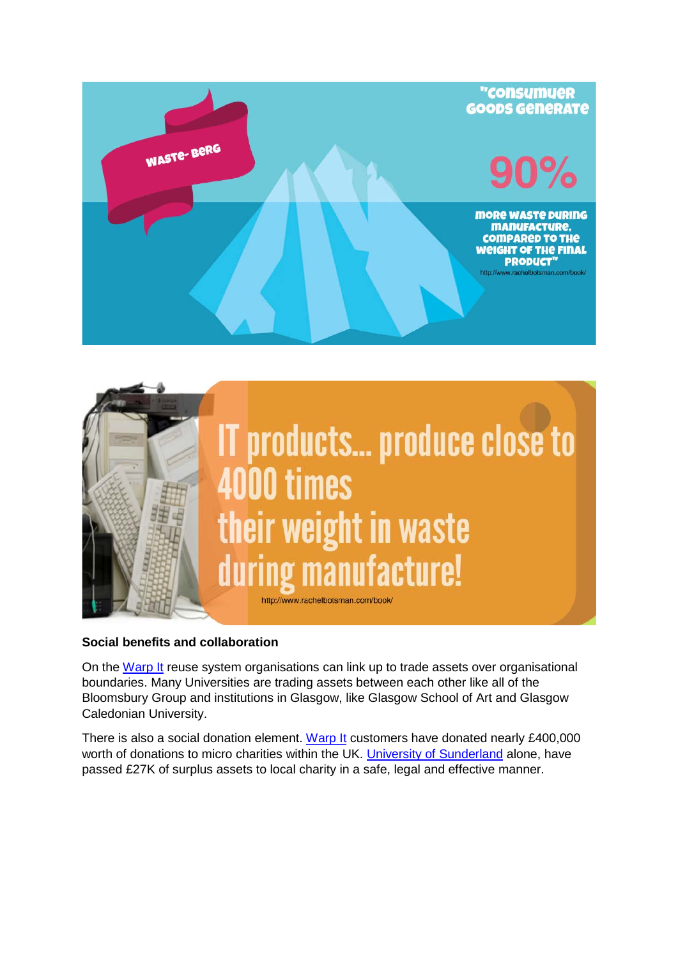



### **Social benefits and collaboration**

On the [Warp It](http://www.warp-it.co.uk/) reuse system organisations can link up to trade assets over organisational boundaries. Many Universities are trading assets between each other like all of the Bloomsbury Group and institutions in Glasgow, like Glasgow School of Art and Glasgow Caledonian University.

There is also a social donation element. [Warp It](http://www.warp-it.co.uk/) customers have donated nearly £400,000 worth of donations to micro charities within the UK. [University of Sunderland](https://www.warp-it.co.uk/universityofsunderland) alone, have passed £27K of surplus assets to local charity in a safe, legal and effective manner.